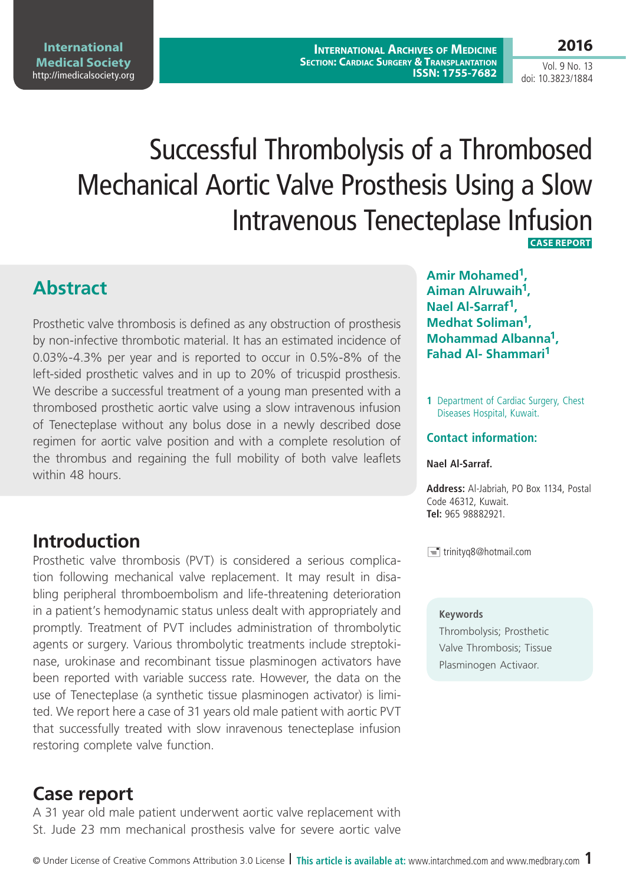**International Archives of Medicine Section: Cardiac Surgery & Transplantation ISSN: 1755-7682** **2016**

Vol. 9 No. 13 doi: 10.3823/1884

# Successful Thrombolysis of a Thrombosed Mechanical Aortic Valve Prosthesis Using a Slow Intravenous Tenecteplase Infusion

 **Case Report** 

### **Abstract**

Prosthetic valve thrombosis is defined as any obstruction of prosthesis by non-infective thrombotic material. It has an estimated incidence of 0.03%-4.3% per year and is reported to occur in 0.5%-8% of the left-sided prosthetic valves and in up to 20% of tricuspid prosthesis. We describe a successful treatment of a young man presented with a thrombosed prosthetic aortic valve using a slow intravenous infusion of Tenecteplase without any bolus dose in a newly described dose regimen for aortic valve position and with a complete resolution of the thrombus and regaining the full mobility of both valve leaflets within 48 hours.

## **Introduction**

Prosthetic valve thrombosis (PVT) is considered a serious complication following mechanical valve replacement. It may result in disabling peripheral thromboembolism and life-threatening deterioration in a patient's hemodynamic status unless dealt with appropriately and promptly. Treatment of PVT includes administration of thrombolytic agents or surgery. Various thrombolytic treatments include streptokinase, urokinase and recombinant tissue plasminogen activators have been reported with variable success rate. However, the data on the use of Tenecteplase (a synthetic tissue plasminogen activator) is limited. We report here a case of 31 years old male patient with aortic PVT that successfully treated with slow inravenous tenecteplase infusion restoring complete valve function.

### **Case report**

A 31 year old male patient underwent aortic valve replacement with St. Jude 23 mm mechanical prosthesis valve for severe aortic valve

**Amir Mohamed1, Aiman Alruwaih1, Nael Al-Sarraf1, Medhat Soliman1, Mohammad Albanna1, Fahad Al- Shammari1**

**1** Department of Cardiac Surgery, Chest Diseases Hospital, Kuwait.

### **Contact information:**

#### **Nael Al-Sarraf.**

**Address:** Al-Jabriah, PO Box 1134, Postal Code 46312, Kuwait. **Tel:** 965 98882921.

 $\equiv$  trinityq8@hotmail.com

#### **Keywords**

Thrombolysis; Prosthetic Valve Thrombosis; Tissue Plasminogen Activaor.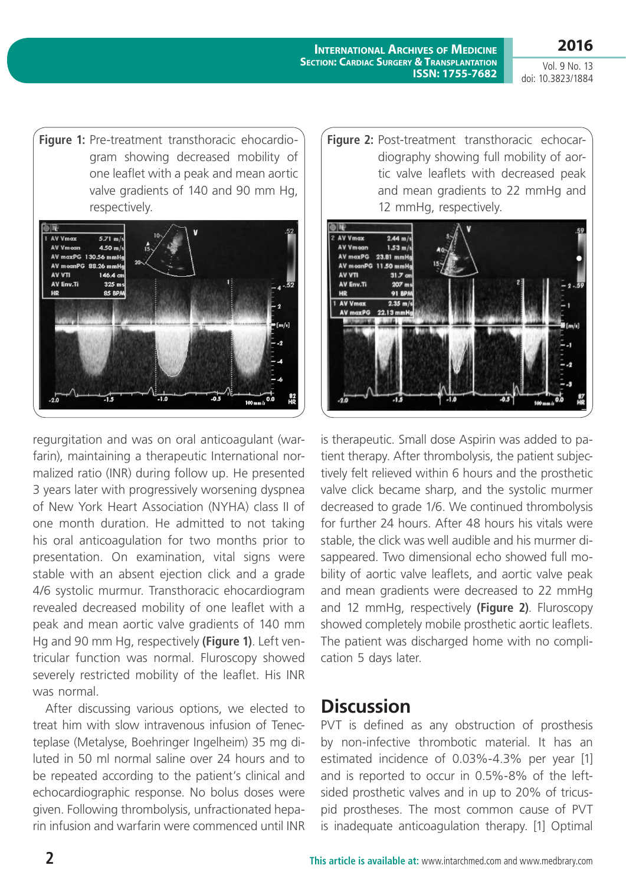**International Archives of Medicine Section: Cardiac Surgery & Transplantation ISSN: 1755-7682**

Vol. 9 No. 13 doi: 10.3823/1884

**2016**

**Figure 1:** Pre-treatment transthoracic ehocardiogram showing decreased mobility of one leaflet with a peak and mean aortic valve gradients of 140 and 90 mm Hg, respectively.



regurgitation and was on oral anticoagulant (warfarin), maintaining a therapeutic International normalized ratio (INR) during follow up. He presented 3 years later with progressively worsening dyspnea of New York Heart Association (NYHA) class II of one month duration. He admitted to not taking his oral anticoagulation for two months prior to presentation. On examination, vital signs were stable with an absent ejection click and a grade 4/6 systolic murmur. Transthoracic ehocardiogram revealed decreased mobility of one leaflet with a peak and mean aortic valve gradients of 140 mm Hg and 90 mm Hg, respectively **(Figure 1)**. Left ventricular function was normal. Fluroscopy showed severely restricted mobility of the leaflet. His INR was normal.

After discussing various options, we elected to treat him with slow intravenous infusion of Tenecteplase (Metalyse, Boehringer Ingelheim) 35 mg diluted in 50 ml normal saline over 24 hours and to be repeated according to the patient's clinical and echocardiographic response. No bolus doses were given. Following thrombolysis, unfractionated heparin infusion and warfarin were commenced until INR





is therapeutic. Small dose Aspirin was added to patient therapy. After thrombolysis, the patient subjectively felt relieved within 6 hours and the prosthetic valve click became sharp, and the systolic murmer decreased to grade 1/6. We continued thrombolysis for further 24 hours. After 48 hours his vitals were stable, the click was well audible and his murmer disappeared. Two dimensional echo showed full mobility of aortic valve leaflets, and aortic valve peak and mean gradients were decreased to 22 mmHg and 12 mmHg, respectively **(Figure 2)**. Fluroscopy showed completely mobile prosthetic aortic leaflets. The patient was discharged home with no complication 5 days later.

### **Discussion**

PVT is defined as any obstruction of prosthesis by non-infective thrombotic material. It has an estimated incidence of 0.03%-4.3% per year [1] and is reported to occur in 0.5%-8% of the leftsided prosthetic valves and in up to 20% of tricuspid prostheses. The most common cause of PVT is inadequate anticoagulation therapy. [1] Optimal